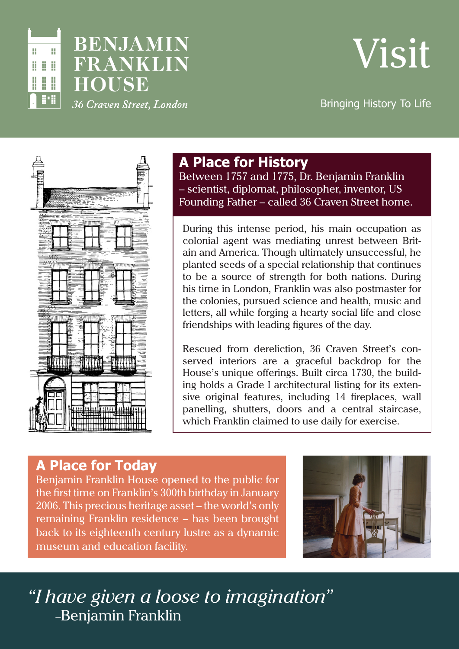

# **BENJAMIN** FRANKLIN **HOUSE** 36 Craven Street, London



Bringing History To Life



### **A Place for History**

Between 1757 and 1775, Dr. Benjamin Franklin – scientist, diplomat, philosopher, inventor, US Founding Father – called 36 Craven Street home.

During this intense period, his main occupation as colonial agent was mediating unrest between Britain and America. Though ultimately unsuccessful, he planted seeds of a special relationship that continues to be a source of strength for both nations. During his time in London, Franklin was also postmaster for the colonies, pursued science and health, music and letters, all while forging a hearty social life and close friendships with leading figures of the day.

Rescued from dereliction, 36 Craven Street's conserved interiors are a graceful backdrop for the House's unique offerings. Built circa 1730, the building holds a Grade I architectural listing for its extensive original features, including 14 fireplaces, wall panelling, shutters, doors and a central staircase, which Franklin claimed to use daily for exercise.

### **A Place for Today**

Benjamin Franklin House opened to the public for the first time on Franklin's 300th birthday in January 2006. This precious heritage asset – the world's only remaining Franklin residence – has been brought back to its eighteenth century lustre as a dynamic museum and education facility.



*"I have given a loose to imagination"* –Benjamin Franklin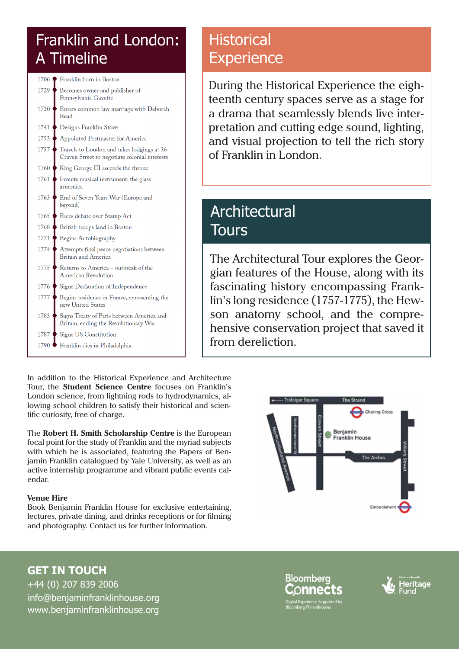# Franklin and London: A Timeline



In addition to the Historical Experience and Architecture Tour, the **Student Science Centre** focuses on Franklin's London science, from lightning rods to hydrodynamics, allowing school children to satisfy their historical and scientific curiosity, free of charge.

The **Robert H. Smith Scholarship Centre** is the European focal point for the study of Franklin and the myriad subjects with which he is associated, featuring the Papers of Benjamin Franklin catalogued by Yale University, as well as an active internship programme and vibrant public events calendar.

#### **Venue Hire**

Book Benjamin Franklin House for exclusive entertaining, lectures, private dining, and drinks receptions or for filming and photography. Contact us for further information.

# **Historical Experience**

During the Historical Experience the eighteenth century spaces serve as a stage for a drama that seamlessly blends live interpretation and cutting edge sound, lighting, and visual projection to tell the rich story of Franklin in London.

## Architectural **Tours**

The Architectural Tour explores the Georgian features of the House, along with its fascinating history encompassing Franklin's long residence (1757-1775), the Hewson anatomy school, and the comprehensive conservation project that saved it from dereliction.



**GET IN TOUCH** +44 (0) 207 839 2006

[info@benjaminfranklinhouse.org](mailto:info%40benjaminfranklinhouse.org?subject=) [www.benjaminfranklinhouse.org](http://WWW.benjaminfranklinhouse.org)

**Bloomberg** edis